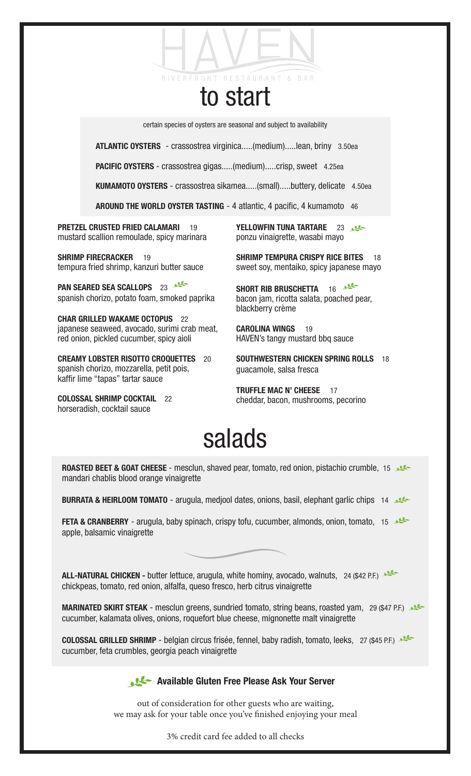certain species of oysters are seasonal and subject to availability

to start

**RESTAURANT & BAR** 

ATLANTIC OYSTERS - crassostrea virginica.....(medium).....lean, briny 3.50ea

PACIFIC OYSTERS - crassostrea gigas.....(medium).....crisp, sweet 4.25ea

RIVERFRONT

KUMAMOTO OYSTERS - crassostrea sikamea.....(small).....buttery, delicate 4.50ea

AROUND THE WORLD OYSTER TASTING - 4 atlantic, 4 pacific, 4 kumamoto 46

PRETZEL CRUSTED FRIED CALAMARI 19 mustard scallion remoulade, spicy marinara

SHRIMP FIRECRACKER 19 tempura fried shrimp, kanzuri butter sauce

PAN SEARED SEA SCALLOPS 23 spanish chorizo, potato foam, smoked paprika

CHAR GRILLED WAKAME OCTOPUS 22 japanese seaweed, avocado, surimi crab meat, red onion, pickled cucumber, spicy aioli

CREAMY LOBSTER RISOTTO CROQUETTES 20 spanish chorizo, mozzarella, petit pois, kaffir lime "tapas" tartar sauce

COLOSSAL SHRIMP COCKTAIL 22 horseradish, cocktail sauce

**YELLOWFIN TUNA TARTARE** 23 ponzu vinaigrette, wasabi mayo

**SHRIMP TEMPURA CRISPY RICE BITES** 18 sweet soy, mentaiko, spicy japanese mayo

SHORT RIB BRUSCHETTA 16 bacon jam, ricotta salata, poached pear, blackberry crème

CAROLINA WINGS 19 HAVEN's tangy mustard bbq sauce

SOUTHWESTERN CHICKEN SPRING ROLLS 18 guacamole, salsa fresca

TRUFFLE MAC N' CHEESE 17 cheddar, bacon, mushrooms, pecorino

## salads

ROASTED BEET & GOAT CHEESE - mesclun, shaved pear, tomato, red onion, pistachio crumble, 15 mandari chablis blood orange vinaigrette

BURRATA & HEIRLOOM TOMATO - arugula, medjool dates, onions, basil, elephant garlic chips 14

FETA & CRANBERRY - arugula, baby spinach, crispy tofu, cucumber, almonds, onion, tomato, 15 apple, balsamic vinaigrette

ALL-NATURAL CHICKEN - butter lettuce, arugula, white hominy, avocado, walnuts, 24 (\$42 P.F.) chickpeas, tomato, red onion, alfalfa, queso fresco, herb citrus vinaigrette

MARINATED SKIRT STEAK - mesclun greens, sundried tomato, string beans, roasted yam, 29 (\$47 P.F.) cucumber, kalamata olives, onions, roquefort blue cheese, mignonette malt vinaigrette

COLOSSAL GRILLED SHRIMP - belgian circus frisée, fennel, baby radish, tomato, leeks, 27 (\$45 P.F.) cucumber, feta crumbles, georgia peach vinaigrette

## Available Gluten Free Please Ask Your Server

out of consideration for other guests who are waiting, we may ask for your table once you've finished enjoying your meal

3% credit card fee added to all checks